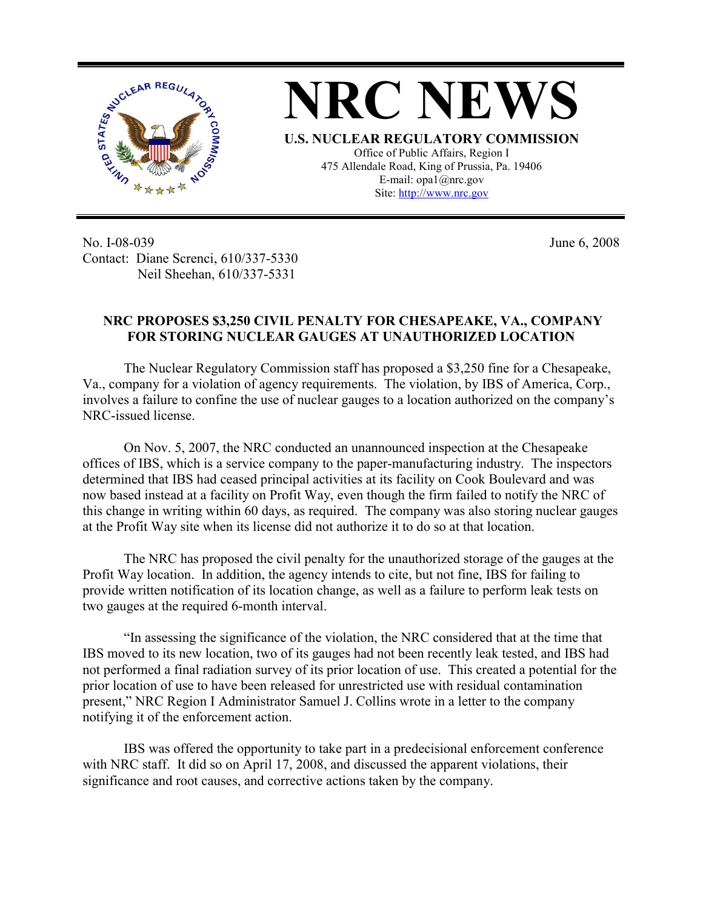

No. I-08-039 Contact: Diane Screnci, 610/337-5330 Neil Sheehan, 610/337-5331

June 6, 2008

## **NRC PROPOSES \$3,250 CIVIL PENALTY FOR CHESAPEAKE, VA., COMPANY FOR STORING NUCLEAR GAUGES AT UNAUTHORIZED LOCATION**

 The Nuclear Regulatory Commission staff has proposed a \$3,250 fine for a Chesapeake, Va., company for a violation of agency requirements. The violation, by IBS of America, Corp., involves a failure to confine the use of nuclear gauges to a location authorized on the company's NRC-issued license.

On Nov. 5, 2007, the NRC conducted an unannounced inspection at the Chesapeake offices of IBS, which is a service company to the paper-manufacturing industry. The inspectors determined that IBS had ceased principal activities at its facility on Cook Boulevard and was now based instead at a facility on Profit Way, even though the firm failed to notify the NRC of this change in writing within 60 days, as required. The company was also storing nuclear gauges at the Profit Way site when its license did not authorize it to do so at that location.

The NRC has proposed the civil penalty for the unauthorized storage of the gauges at the Profit Way location. In addition, the agency intends to cite, but not fine, IBS for failing to provide written notification of its location change, as well as a failure to perform leak tests on two gauges at the required 6-month interval.

"In assessing the significance of the violation, the NRC considered that at the time that IBS moved to its new location, two of its gauges had not been recently leak tested, and IBS had not performed a final radiation survey of its prior location of use. This created a potential for the prior location of use to have been released for unrestricted use with residual contamination present," NRC Region I Administrator Samuel J. Collins wrote in a letter to the company notifying it of the enforcement action.

IBS was offered the opportunity to take part in a predecisional enforcement conference with NRC staff. It did so on April 17, 2008, and discussed the apparent violations, their significance and root causes, and corrective actions taken by the company.